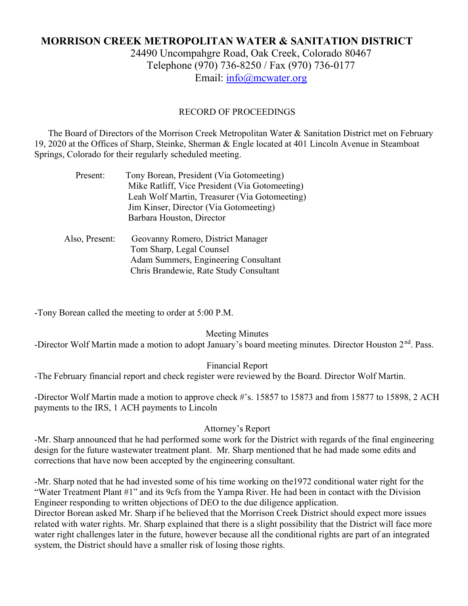# MORRISON CREEK METROPOLITAN WATER & SANITATION DISTRICT

24490 Uncompahgre Road, Oak Creek, Colorado 80467 Telephone (970) 736-8250 / Fax (970) 736-0177 Email: info@mcwater.org

### RECORD OF PROCEEDINGS

 The Board of Directors of the Morrison Creek Metropolitan Water & Sanitation District met on February 19, 2020 at the Offices of Sharp, Steinke, Sherman & Engle located at 401 Lincoln Avenue in Steamboat Springs, Colorado for their regularly scheduled meeting.

| Present:       | Tony Borean, President (Via Gotomeeting)       |
|----------------|------------------------------------------------|
|                | Mike Ratliff, Vice President (Via Gotomeeting) |
|                | Leah Wolf Martin, Treasurer (Via Gotomeeting)  |
|                | Jim Kinser, Director (Via Gotomeeting)         |
|                | Barbara Houston, Director                      |
|                |                                                |
| Also, Present: | Geovanny Romero, District Manager              |
|                | Tom Sharp, Legal Counsel                       |
|                | Adam Summers, Engineering Consultant           |
|                | Chris Brandewie, Rate Study Consultant         |
|                |                                                |

-Tony Borean called the meeting to order at 5:00 P.M.

Meeting Minutes -Director Wolf Martin made a motion to adopt January's board meeting minutes. Director Houston 2<sup>nd</sup>. Pass.

Financial Report

-The February financial report and check register were reviewed by the Board. Director Wolf Martin.

-Director Wolf Martin made a motion to approve check #'s. 15857 to 15873 and from 15877 to 15898, 2 ACH payments to the IRS, 1 ACH payments to Lincoln

#### Attorney's Report

-Mr. Sharp announced that he had performed some work for the District with regards of the final engineering design for the future wastewater treatment plant. Mr. Sharp mentioned that he had made some edits and corrections that have now been accepted by the engineering consultant.

-Mr. Sharp noted that he had invested some of his time working on the1972 conditional water right for the "Water Treatment Plant #1" and its 9cfs from the Yampa River. He had been in contact with the Division Engineer responding to written objections of DEO to the due diligence application.

Director Borean asked Mr. Sharp if he believed that the Morrison Creek District should expect more issues related with water rights. Mr. Sharp explained that there is a slight possibility that the District will face more water right challenges later in the future, however because all the conditional rights are part of an integrated system, the District should have a smaller risk of losing those rights.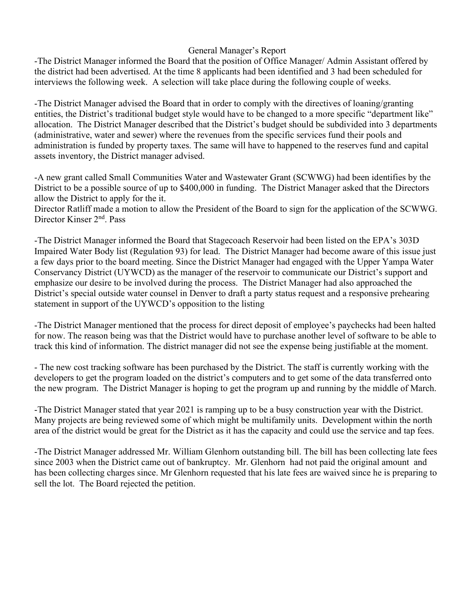# General Manager's Report

-The District Manager informed the Board that the position of Office Manager/ Admin Assistant offered by the district had been advertised. At the time 8 applicants had been identified and 3 had been scheduled for interviews the following week. A selection will take place during the following couple of weeks.

-The District Manager advised the Board that in order to comply with the directives of loaning/granting entities, the District's traditional budget style would have to be changed to a more specific "department like" allocation. The District Manager described that the District's budget should be subdivided into 3 departments (administrative, water and sewer) where the revenues from the specific services fund their pools and administration is funded by property taxes. The same will have to happened to the reserves fund and capital assets inventory, the District manager advised.

-A new grant called Small Communities Water and Wastewater Grant (SCWWG) had been identifies by the District to be a possible source of up to \$400,000 in funding. The District Manager asked that the Directors allow the District to apply for the it.

Director Ratliff made a motion to allow the President of the Board to sign for the application of the SCWWG. Director Kinser 2<sup>nd</sup>. Pass

-The District Manager informed the Board that Stagecoach Reservoir had been listed on the EPA's 303D Impaired Water Body list (Regulation 93) for lead. The District Manager had become aware of this issue just a few days prior to the board meeting. Since the District Manager had engaged with the Upper Yampa Water Conservancy District (UYWCD) as the manager of the reservoir to communicate our District's support and emphasize our desire to be involved during the process. The District Manager had also approached the District's special outside water counsel in Denver to draft a party status request and a responsive prehearing statement in support of the UYWCD's opposition to the listing

-The District Manager mentioned that the process for direct deposit of employee's paychecks had been halted for now. The reason being was that the District would have to purchase another level of software to be able to track this kind of information. The district manager did not see the expense being justifiable at the moment.

- The new cost tracking software has been purchased by the District. The staff is currently working with the developers to get the program loaded on the district's computers and to get some of the data transferred onto the new program. The District Manager is hoping to get the program up and running by the middle of March.

-The District Manager stated that year 2021 is ramping up to be a busy construction year with the District. Many projects are being reviewed some of which might be multifamily units. Development within the north area of the district would be great for the District as it has the capacity and could use the service and tap fees.

-The District Manager addressed Mr. William Glenhorn outstanding bill. The bill has been collecting late fees since 2003 when the District came out of bankruptcy. Mr. Glenhorn had not paid the original amount and has been collecting charges since. Mr Glenhorn requested that his late fees are waived since he is preparing to sell the lot. The Board rejected the petition.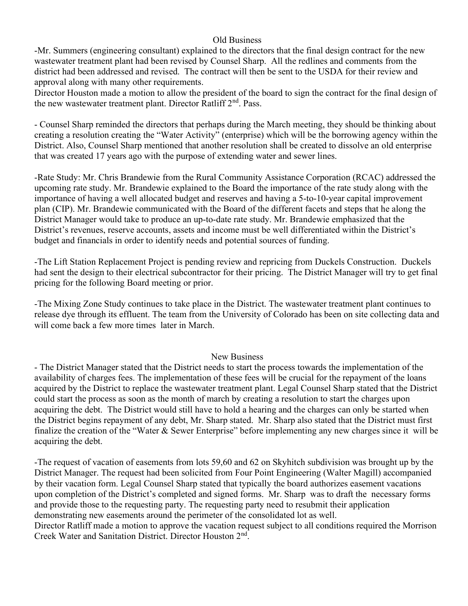## Old Business

-Mr. Summers (engineering consultant) explained to the directors that the final design contract for the new wastewater treatment plant had been revised by Counsel Sharp. All the redlines and comments from the district had been addressed and revised. The contract will then be sent to the USDA for their review and approval along with many other requirements.

Director Houston made a motion to allow the president of the board to sign the contract for the final design of the new wastewater treatment plant. Director Ratliff  $2<sup>nd</sup>$ . Pass.

- Counsel Sharp reminded the directors that perhaps during the March meeting, they should be thinking about creating a resolution creating the "Water Activity" (enterprise) which will be the borrowing agency within the District. Also, Counsel Sharp mentioned that another resolution shall be created to dissolve an old enterprise that was created 17 years ago with the purpose of extending water and sewer lines.

-Rate Study: Mr. Chris Brandewie from the Rural Community Assistance Corporation (RCAC) addressed the upcoming rate study. Mr. Brandewie explained to the Board the importance of the rate study along with the importance of having a well allocated budget and reserves and having a 5-to-10-year capital improvement plan (CIP). Mr. Brandewie communicated with the Board of the different facets and steps that he along the District Manager would take to produce an up-to-date rate study. Mr. Brandewie emphasized that the District's revenues, reserve accounts, assets and income must be well differentiated within the District's budget and financials in order to identify needs and potential sources of funding.

-The Lift Station Replacement Project is pending review and repricing from Duckels Construction. Duckels had sent the design to their electrical subcontractor for their pricing. The District Manager will try to get final pricing for the following Board meeting or prior.

-The Mixing Zone Study continues to take place in the District. The wastewater treatment plant continues to release dye through its effluent. The team from the University of Colorado has been on site collecting data and will come back a few more times later in March.

### New Business

- The District Manager stated that the District needs to start the process towards the implementation of the availability of charges fees. The implementation of these fees will be crucial for the repayment of the loans acquired by the District to replace the wastewater treatment plant. Legal Counsel Sharp stated that the District could start the process as soon as the month of march by creating a resolution to start the charges upon acquiring the debt. The District would still have to hold a hearing and the charges can only be started when the District begins repayment of any debt, Mr. Sharp stated. Mr. Sharp also stated that the District must first finalize the creation of the "Water & Sewer Enterprise" before implementing any new charges since it will be acquiring the debt.

-The request of vacation of easements from lots 59,60 and 62 on Skyhitch subdivision was brought up by the District Manager. The request had been solicited from Four Point Engineering (Walter Magill) accompanied by their vacation form. Legal Counsel Sharp stated that typically the board authorizes easement vacations upon completion of the District's completed and signed forms. Mr. Sharp was to draft the necessary forms and provide those to the requesting party. The requesting party need to resubmit their application demonstrating new easements around the perimeter of the consolidated lot as well.

Director Ratliff made a motion to approve the vacation request subject to all conditions required the Morrison Creek Water and Sanitation District. Director Houston 2nd .